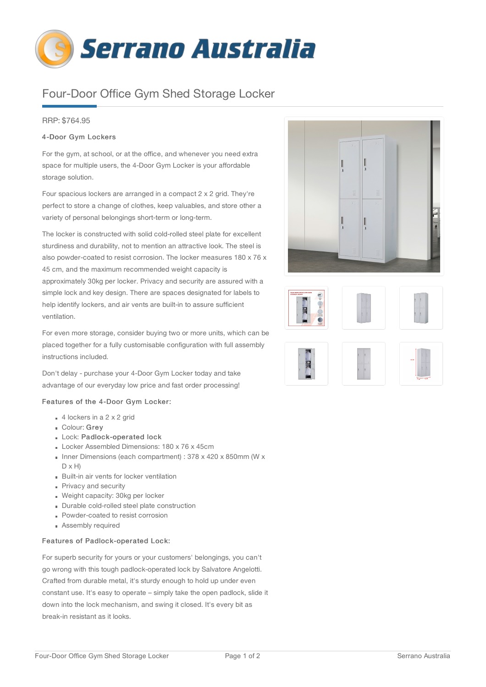

# Four-Door Office Gym Shed Storage Locker

# RRP: \$764.95

# 4-Door Gym Lockers

For the gym, at school, or at the office, and whenever you need extra space for multiple users, the 4-Door Gym Locker is your affordable storage solution.

Four spacious lockers are arranged in a compact 2 x 2 grid. They're perfect to store a change of clothes, keep valuables, and store other a variety of personal belongings short-term or long-term.

The locker is constructed with solid cold-rolled steel plate for excellent sturdiness and durability, not to mention an attractive look. The steel is also powder-coated to resist corrosion. The locker measures 180 x 76 x 45 cm, and the maximum recommended weight capacity is approximately 30kg per locker. Privacy and security are assured with a simple lock and key design. There are spaces designated for labels to help identify lockers, and air vents are built-in to assure sufficient ventilation.

For even more storage, consider buying two or more units, which can be placed together for a fully customisable configuration with full assembly instructions included.

Don't delay - purchase your 4-Door Gym Locker today and take advantage of our everyday low price and fast order processing!

#### Features of the 4-Door Gym Locker:

- $\bullet$  4 lockers in a 2 x 2 grid
- Colour: Grey
- Lock: Padlock-operated lock
- Locker Assembled Dimensions: 180 x 76 x 45cm
- Inner Dimensions (each compartment) : 378 x 420 x 850mm (W x  $D \times H$
- Built-in air vents for locker ventilation
- **Privacy and security**
- Weight capacity: 30kg per locker
- Durable cold-rolled steel plate construction
- Powder-coated to resist corrosion
- **Assembly required**

### Features of Padlock-operated Lock:

For superb security for yours or your customers' belongings, you can't go wrong with this tough padlock-operated lock by Salvatore Angelotti. Crafted from durable metal, it's sturdy enough to hold up under even constant use. It's easy to operate – simply take the open padlock, slide it down into the lock mechanism, and swing it closed. It's every bit as break-in resistant as it looks.